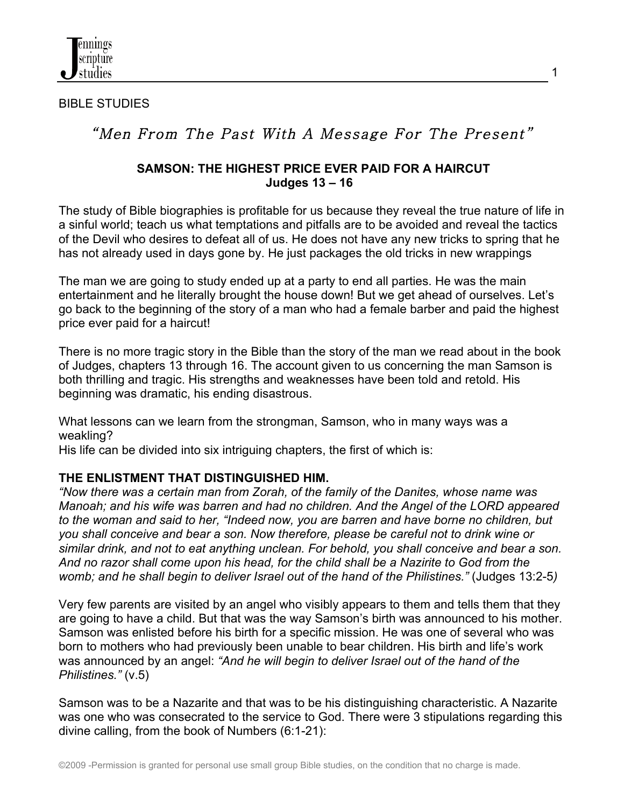

#### BIBLE STUDIES

# "Men From The Past With A Message For The Present"

#### **SAMSON: THE HIGHEST PRICE EVER PAID FOR A HAIRCUT Judges 13 – 16**

The study of Bible biographies is profitable for us because they reveal the true nature of life in a sinful world; teach us what temptations and pitfalls are to be avoided and reveal the tactics of the Devil who desires to defeat all of us. He does not have any new tricks to spring that he has not already used in days gone by. He just packages the old tricks in new wrappings

The man we are going to study ended up at a party to end all parties. He was the main entertainment and he literally brought the house down! But we get ahead of ourselves. Let's go back to the beginning of the story of a man who had a female barber and paid the highest price ever paid for a haircut!

There is no more tragic story in the Bible than the story of the man we read about in the book of Judges, chapters 13 through 16. The account given to us concerning the man Samson is both thrilling and tragic. His strengths and weaknesses have been told and retold. His beginning was dramatic, his ending disastrous.

What lessons can we learn from the strongman, Samson, who in many ways was a weakling?

His life can be divided into six intriguing chapters, the first of which is:

# **THE ENLISTMENT THAT DISTINGUISHED HIM.**

*"Now there was a certain man from Zorah, of the family of the Danites, whose name was Manoah; and his wife was barren and had no children. And the Angel of the LORD appeared to the woman and said to her, "Indeed now, you are barren and have borne no children, but you shall conceive and bear a son. Now therefore, please be careful not to drink wine or similar drink, and not to eat anything unclean. For behold, you shall conceive and bear a son. And no razor shall come upon his head, for the child shall be a Nazirite to God from the womb; and he shall begin to deliver Israel out of the hand of the Philistines."* (Judges 13:2-5*)*

Very few parents are visited by an angel who visibly appears to them and tells them that they are going to have a child. But that was the way Samson's birth was announced to his mother. Samson was enlisted before his birth for a specific mission. He was one of several who was born to mothers who had previously been unable to bear children. His birth and life's work was announced by an angel: *"And he will begin to deliver Israel out of the hand of the Philistines."* (v.5)

Samson was to be a Nazarite and that was to be his distinguishing characteristic. A Nazarite was one who was consecrated to the service to God. There were 3 stipulations regarding this divine calling, from the book of Numbers (6:1-21):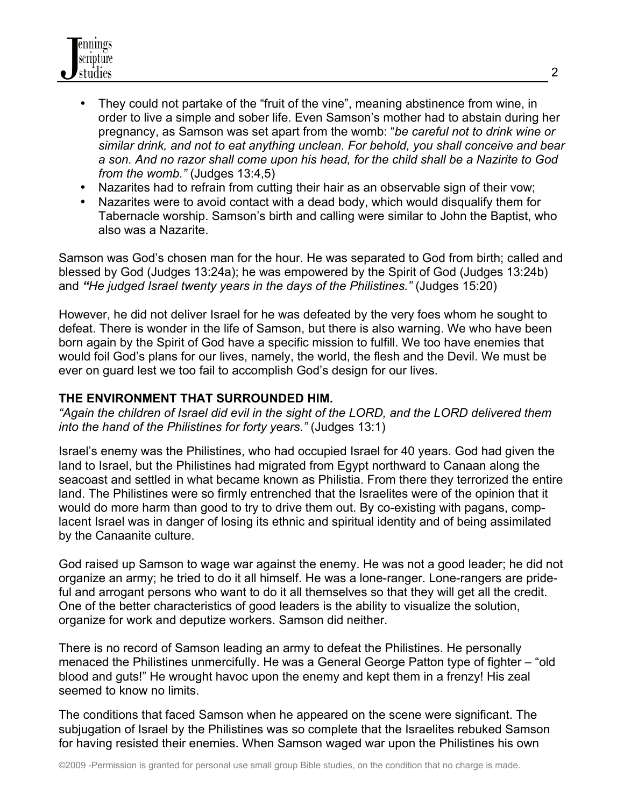

- They could not partake of the "fruit of the vine", meaning abstinence from wine, in order to live a simple and sober life. Even Samson's mother had to abstain during her pregnancy, as Samson was set apart from the womb: "*be careful not to drink wine or similar drink, and not to eat anything unclean. For behold, you shall conceive and bear a son. And no razor shall come upon his head, for the child shall be a Nazirite to God from the womb."* (Judges 13:4,5)
- Nazarites had to refrain from cutting their hair as an observable sign of their vow;
- Nazarites were to avoid contact with a dead body, which would disqualify them for Tabernacle worship. Samson's birth and calling were similar to John the Baptist, who also was a Nazarite.

Samson was God's chosen man for the hour. He was separated to God from birth; called and blessed by God (Judges 13:24a); he was empowered by the Spirit of God (Judges 13:24b) and *"He judged Israel twenty years in the days of the Philistines."* (Judges 15:20)

However, he did not deliver Israel for he was defeated by the very foes whom he sought to defeat. There is wonder in the life of Samson, but there is also warning. We who have been born again by the Spirit of God have a specific mission to fulfill. We too have enemies that would foil God's plans for our lives, namely, the world, the flesh and the Devil. We must be ever on guard lest we too fail to accomplish God's design for our lives.

### **THE ENVIRONMENT THAT SURROUNDED HIM.**

*"Again the children of Israel did evil in the sight of the LORD, and the LORD delivered them into the hand of the Philistines for forty years."* (Judges 13:1)

Israel's enemy was the Philistines, who had occupied Israel for 40 years. God had given the land to Israel, but the Philistines had migrated from Egypt northward to Canaan along the seacoast and settled in what became known as Philistia. From there they terrorized the entire land. The Philistines were so firmly entrenched that the Israelites were of the opinion that it would do more harm than good to try to drive them out. By co-existing with pagans, complacent Israel was in danger of losing its ethnic and spiritual identity and of being assimilated by the Canaanite culture.

God raised up Samson to wage war against the enemy. He was not a good leader; he did not organize an army; he tried to do it all himself. He was a lone-ranger. Lone-rangers are prideful and arrogant persons who want to do it all themselves so that they will get all the credit. One of the better characteristics of good leaders is the ability to visualize the solution, organize for work and deputize workers. Samson did neither.

There is no record of Samson leading an army to defeat the Philistines. He personally menaced the Philistines unmercifully. He was a General George Patton type of fighter – "old blood and guts!" He wrought havoc upon the enemy and kept them in a frenzy! His zeal seemed to know no limits.

The conditions that faced Samson when he appeared on the scene were significant. The subjugation of Israel by the Philistines was so complete that the Israelites rebuked Samson for having resisted their enemies. When Samson waged war upon the Philistines his own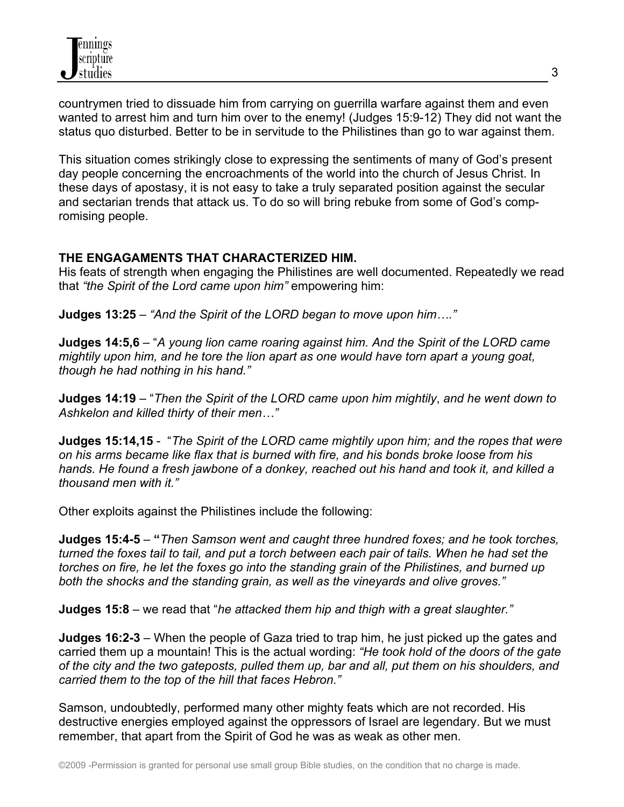countrymen tried to dissuade him from carrying on guerrilla warfare against them and even wanted to arrest him and turn him over to the enemy! (Judges 15:9-12) They did not want the status quo disturbed. Better to be in servitude to the Philistines than go to war against them.

This situation comes strikingly close to expressing the sentiments of many of God's present day people concerning the encroachments of the world into the church of Jesus Christ. In these days of apostasy, it is not easy to take a truly separated position against the secular and sectarian trends that attack us. To do so will bring rebuke from some of God's compromising people.

# **THE ENGAGAMENTS THAT CHARACTERIZED HIM.**

His feats of strength when engaging the Philistines are well documented. Repeatedly we read that *"the Spirit of the Lord came upon him"* empowering him:

**Judges 13:25** – *"And the Spirit of the LORD began to move upon him…."*

**Judges 14:5,6** – "*A young lion came roaring against him. And the Spirit of the LORD came mightily upon him, and he tore the lion apart as one would have torn apart a young goat, though he had nothing in his hand."*

**Judges 14:19** – "*Then the Spirit of the LORD came upon him mightily*, *and he went down to Ashkelon and killed thirty of their men…"*

**Judges 15:14,15** - "*The Spirit of the LORD came mightily upon him; and the ropes that were on his arms became like flax that is burned with fire, and his bonds broke loose from his hands. He found a fresh jawbone of a donkey, reached out his hand and took it, and killed a thousand men with it."*

Other exploits against the Philistines include the following:

**Judges 15:4-5** – **"***Then Samson went and caught three hundred foxes; and he took torches, turned the foxes tail to tail, and put a torch between each pair of tails. When he had set the torches on fire, he let the foxes go into the standing grain of the Philistines, and burned up both the shocks and the standing grain, as well as the vineyards and olive groves."*

**Judges 15:8** – we read that "*he attacked them hip and thigh with a great slaughter."*

**Judges 16:2-3** – When the people of Gaza tried to trap him, he just picked up the gates and carried them up a mountain! This is the actual wording: *"He took hold of the doors of the gate of the city and the two gateposts, pulled them up, bar and all, put them on his shoulders, and carried them to the top of the hill that faces Hebron."*

Samson, undoubtedly, performed many other mighty feats which are not recorded. His destructive energies employed against the oppressors of Israel are legendary. But we must remember, that apart from the Spirit of God he was as weak as other men.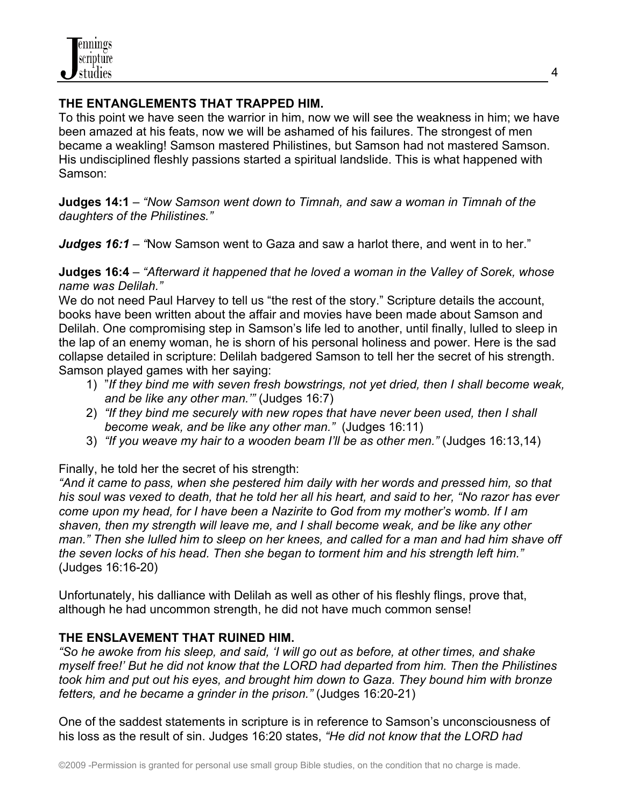

#### **THE ENTANGLEMENTS THAT TRAPPED HIM.**

To this point we have seen the warrior in him, now we will see the weakness in him; we have been amazed at his feats, now we will be ashamed of his failures. The strongest of men became a weakling! Samson mastered Philistines, but Samson had not mastered Samson. His undisciplined fleshly passions started a spiritual landslide. This is what happened with Samson:

**Judges 14:1** – *"Now Samson went down to Timnah, and saw a woman in Timnah of the daughters of the Philistines."*

*Judges 16:1 – "*Now Samson went to Gaza and saw a harlot there, and went in to her."

**Judges 16:4** – *"Afterward it happened that he loved a woman in the Valley of Sorek, whose name was Delilah."*

We do not need Paul Harvey to tell us "the rest of the story." Scripture details the account, books have been written about the affair and movies have been made about Samson and Delilah. One compromising step in Samson's life led to another, until finally, lulled to sleep in the lap of an enemy woman, he is shorn of his personal holiness and power. Here is the sad collapse detailed in scripture: Delilah badgered Samson to tell her the secret of his strength. Samson played games with her saying:

- 1) "*If they bind me with seven fresh bowstrings, not yet dried, then I shall become weak, and be like any other man.'"* (Judges 16:7)
- 2) *"If they bind me securely with new ropes that have never been used, then I shall become weak, and be like any other man."* (Judges 16:11)
- 3) *"If you weave my hair to a wooden beam I'll be as other men."* (Judges 16:13,14)

Finally, he told her the secret of his strength:

*"And it came to pass, when she pestered him daily with her words and pressed him, so that his soul was vexed to death, that he told her all his heart, and said to her, "No razor has ever come upon my head, for I have been a Nazirite to God from my mother's womb. If I am shaven, then my strength will leave me, and I shall become weak, and be like any other man." Then she lulled him to sleep on her knees, and called for a man and had him shave off the seven locks of his head. Then she began to torment him and his strength left him."*  (Judges 16:16-20)

Unfortunately, his dalliance with Delilah as well as other of his fleshly flings, prove that, although he had uncommon strength, he did not have much common sense!

# **THE ENSLAVEMENT THAT RUINED HIM.**

*"So he awoke from his sleep, and said, 'I will go out as before, at other times, and shake myself free!' But he did not know that the LORD had departed from him. Then the Philistines took him and put out his eyes, and brought him down to Gaza. They bound him with bronze fetters, and he became a grinder in the prison."* (Judges 16:20-21)

One of the saddest statements in scripture is in reference to Samson's unconsciousness of his loss as the result of sin. Judges 16:20 states, *"He did not know that the LORD had*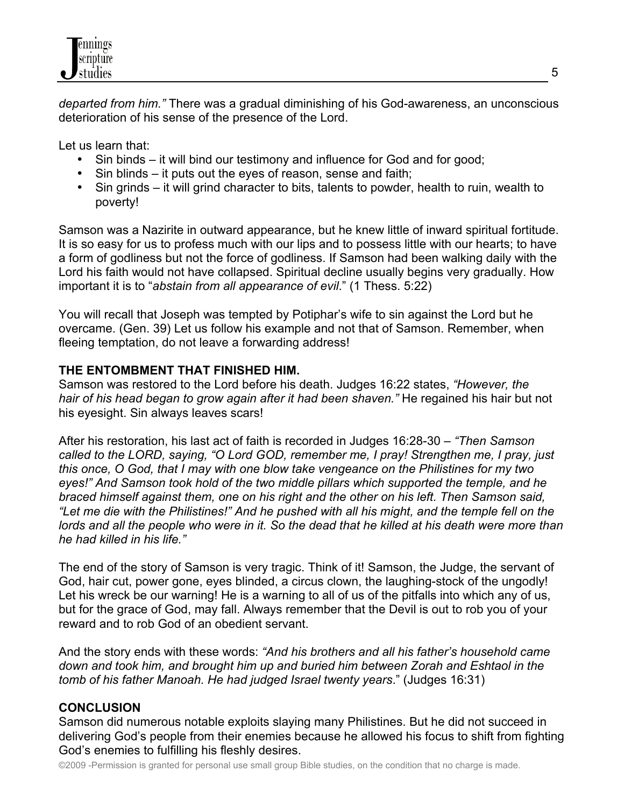

*departed from him."* There was a gradual diminishing of his God-awareness, an unconscious deterioration of his sense of the presence of the Lord.

Let us learn that:

- Sin binds it will bind our testimony and influence for God and for good;
- Sin blinds it puts out the eyes of reason, sense and faith;
- Sin grinds it will grind character to bits, talents to powder, health to ruin, wealth to poverty!

Samson was a Nazirite in outward appearance, but he knew little of inward spiritual fortitude. It is so easy for us to profess much with our lips and to possess little with our hearts; to have a form of godliness but not the force of godliness. If Samson had been walking daily with the Lord his faith would not have collapsed. Spiritual decline usually begins very gradually. How important it is to "*abstain from all appearance of evil*." (1 Thess. 5:22)

You will recall that Joseph was tempted by Potiphar's wife to sin against the Lord but he overcame. (Gen. 39) Let us follow his example and not that of Samson. Remember, when fleeing temptation, do not leave a forwarding address!

### **THE ENTOMBMENT THAT FINISHED HIM.**

Samson was restored to the Lord before his death. Judges 16:22 states, *"However, the hair of his head began to grow again after it had been shaven."* He regained his hair but not his eyesight. Sin always leaves scars!

After his restoration, his last act of faith is recorded in Judges 16:28-30 – *"Then Samson called to the LORD, saying, "O Lord GOD, remember me, I pray! Strengthen me, I pray, just this once, O God, that I may with one blow take vengeance on the Philistines for my two eyes!" And Samson took hold of the two middle pillars which supported the temple, and he braced himself against them, one on his right and the other on his left. Then Samson said, "Let me die with the Philistines!" And he pushed with all his might, and the temple fell on the lords and all the people who were in it. So the dead that he killed at his death were more than he had killed in his life."*

The end of the story of Samson is very tragic. Think of it! Samson, the Judge, the servant of God, hair cut, power gone, eyes blinded, a circus clown, the laughing-stock of the ungodly! Let his wreck be our warning! He is a warning to all of us of the pitfalls into which any of us, but for the grace of God, may fall. Always remember that the Devil is out to rob you of your reward and to rob God of an obedient servant.

And the story ends with these words: *"And his brothers and all his father's household came down and took him, and brought him up and buried him between Zorah and Eshtaol in the tomb of his father Manoah. He had judged Israel twenty years*." (Judges 16:31)

# **CONCLUSION**

Samson did numerous notable exploits slaying many Philistines. But he did not succeed in delivering God's people from their enemies because he allowed his focus to shift from fighting God's enemies to fulfilling his fleshly desires.